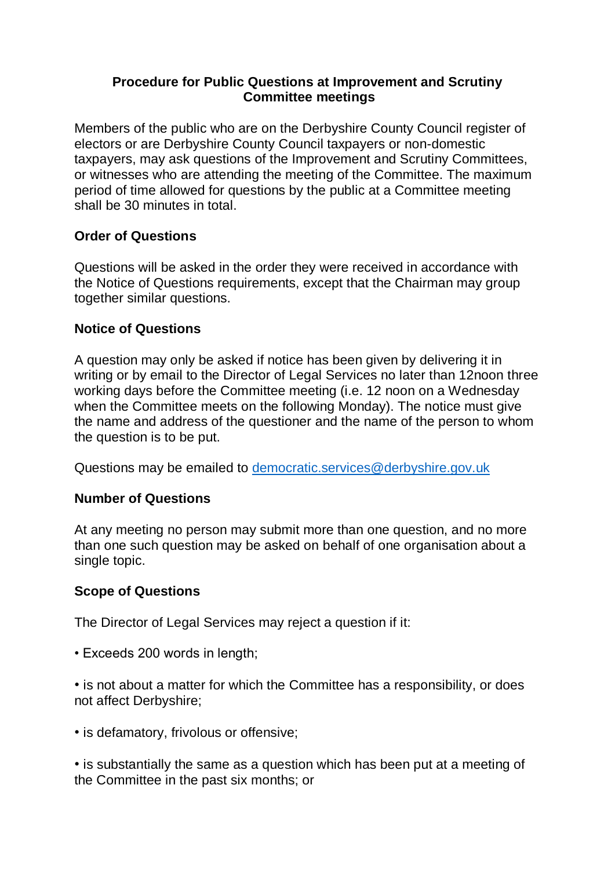## **Procedure for Public Questions at Improvement and Scrutiny Committee meetings**

Members of the public who are on the Derbyshire County Council register of electors or are Derbyshire County Council taxpayers or non-domestic taxpayers, may ask questions of the Improvement and Scrutiny Committees, or witnesses who are attending the meeting of the Committee. The maximum period of time allowed for questions by the public at a Committee meeting shall be 30 minutes in total.

# **Order of Questions**

Questions will be asked in the order they were received in accordance with the Notice of Questions requirements, except that the Chairman may group together similar questions.

# **Notice of Questions**

A question may only be asked if notice has been given by delivering it in writing or by email to the Director of Legal Services no later than 12noon three working days before the Committee meeting (i.e. 12 noon on a Wednesday when the Committee meets on the following Monday). The notice must give the name and address of the questioner and the name of the person to whom the question is to be put.

Questions may be emailed to [democratic.services@derbyshire.gov.uk](mailto:democratic.services@derbyshire.gov.uk)

# **Number of Questions**

At any meeting no person may submit more than one question, and no more than one such question may be asked on behalf of one organisation about a single topic.

# **Scope of Questions**

The Director of Legal Services may reject a question if it:

• Exceeds 200 words in length;

• is not about a matter for which the Committee has a responsibility, or does not affect Derbyshire;

• is defamatory, frivolous or offensive;

• is substantially the same as a question which has been put at a meeting of the Committee in the past six months; or